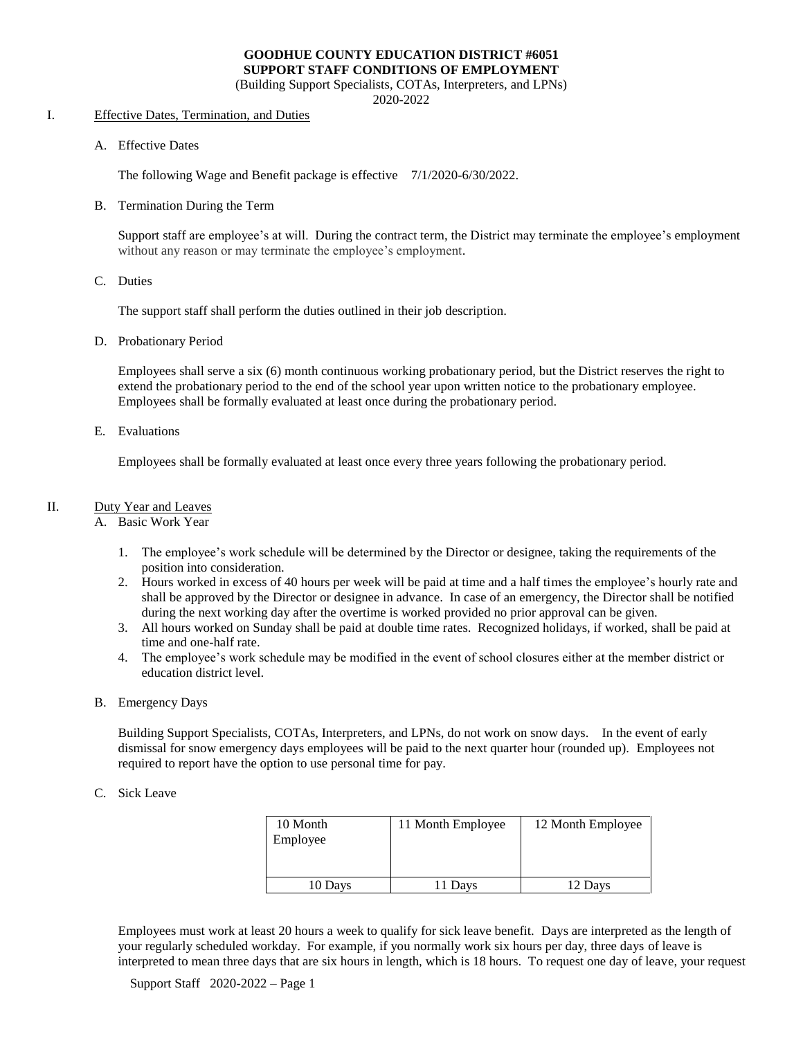#### **GOODHUE COUNTY EDUCATION DISTRICT #6051 SUPPORT STAFF CONDITIONS OF EMPLOYMENT**

(Building Support Specialists, COTAs, Interpreters, and LPNs)

2020-2022

#### I. Effective Dates, Termination, and Duties

A. Effective Dates

The following Wage and Benefit package is effective 7/1/2020-6/30/2022.

B. Termination During the Term

Support staff are employee's at will. During the contract term, the District may terminate the employee's employment without any reason or may terminate the employee's employment.

C. Duties

The support staff shall perform the duties outlined in their job description.

D. Probationary Period

Employees shall serve a six (6) month continuous working probationary period, but the District reserves the right to extend the probationary period to the end of the school year upon written notice to the probationary employee. Employees shall be formally evaluated at least once during the probationary period.

E. Evaluations

Employees shall be formally evaluated at least once every three years following the probationary period.

#### II. Duty Year and Leaves

#### A. Basic Work Year

- 1. The employee's work schedule will be determined by the Director or designee, taking the requirements of the position into consideration.
- 2. Hours worked in excess of 40 hours per week will be paid at time and a half times the employee's hourly rate and shall be approved by the Director or designee in advance. In case of an emergency, the Director shall be notified during the next working day after the overtime is worked provided no prior approval can be given.
- 3. All hours worked on Sunday shall be paid at double time rates. Recognized holidays, if worked, shall be paid at time and one-half rate.
- 4. The employee's work schedule may be modified in the event of school closures either at the member district or education district level.
- B. Emergency Days

Building Support Specialists, COTAs, Interpreters, and LPNs, do not work on snow days. In the event of early dismissal for snow emergency days employees will be paid to the next quarter hour (rounded up). Employees not required to report have the option to use personal time for pay.

C. Sick Leave

| 10 Month<br>Employee | 11 Month Employee | 12 Month Employee |
|----------------------|-------------------|-------------------|
| 10 Days              | 11 Days           | 12 Days           |

Employees must work at least 20 hours a week to qualify for sick leave benefit. Days are interpreted as the length of your regularly scheduled workday. For example, if you normally work six hours per day, three days of leave is interpreted to mean three days that are six hours in length, which is 18 hours. To request one day of leave, your request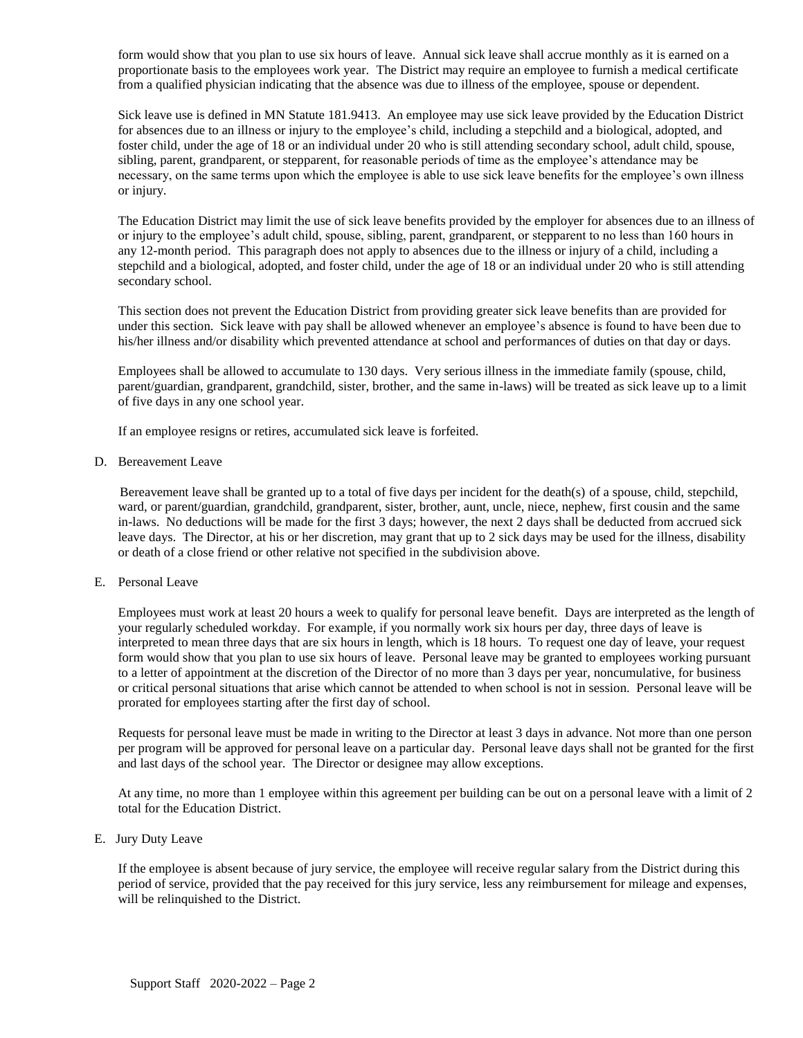form would show that you plan to use six hours of leave. Annual sick leave shall accrue monthly as it is earned on a proportionate basis to the employees work year. The District may require an employee to furnish a medical certificate from a qualified physician indicating that the absence was due to illness of the employee, spouse or dependent.

Sick leave use is defined in MN Statute 181.9413. An employee may use sick leave provided by the Education District for absences due to an illness or injury to the employee's child, including a stepchild and a biological, adopted, and foster child, under the age of 18 or an individual under 20 who is still attending secondary school, adult child, spouse, sibling, parent, grandparent, or stepparent, for reasonable periods of time as the employee's attendance may be necessary, on the same terms upon which the employee is able to use sick leave benefits for the employee's own illness or injury.

The Education District may limit the use of sick leave benefits provided by the employer for absences due to an illness of or injury to the employee's adult child, spouse, sibling, parent, grandparent, or stepparent to no less than 160 hours in any 12-month period. This paragraph does not apply to absences due to the illness or injury of a child, including a stepchild and a biological, adopted, and foster child, under the age of 18 or an individual under 20 who is still attending secondary school.

This section does not prevent the Education District from providing greater sick leave benefits than are provided for under this section. Sick leave with pay shall be allowed whenever an employee's absence is found to have been due to his/her illness and/or disability which prevented attendance at school and performances of duties on that day or days.

 Employees shall be allowed to accumulate to 130 days. Very serious illness in the immediate family (spouse, child, parent/guardian, grandparent, grandchild, sister, brother, and the same in-laws) will be treated as sick leave up to a limit of five days in any one school year.

If an employee resigns or retires, accumulated sick leave is forfeited.

D. Bereavement Leave

Bereavement leave shall be granted up to a total of five days per incident for the death(s) of a spouse, child, stepchild, ward, or parent/guardian, grandchild, grandparent, sister, brother, aunt, uncle, niece, nephew, first cousin and the same in-laws. No deductions will be made for the first 3 days; however, the next 2 days shall be deducted from accrued sick leave days. The Director, at his or her discretion, may grant that up to 2 sick days may be used for the illness, disability or death of a close friend or other relative not specified in the subdivision above.

E. Personal Leave

Employees must work at least 20 hours a week to qualify for personal leave benefit. Days are interpreted as the length of your regularly scheduled workday. For example, if you normally work six hours per day, three days of leave is interpreted to mean three days that are six hours in length, which is 18 hours. To request one day of leave, your request form would show that you plan to use six hours of leave. Personal leave may be granted to employees working pursuant to a letter of appointment at the discretion of the Director of no more than 3 days per year, noncumulative, for business or critical personal situations that arise which cannot be attended to when school is not in session. Personal leave will be prorated for employees starting after the first day of school.

Requests for personal leave must be made in writing to the Director at least 3 days in advance. Not more than one person per program will be approved for personal leave on a particular day. Personal leave days shall not be granted for the first and last days of the school year. The Director or designee may allow exceptions.

At any time, no more than 1 employee within this agreement per building can be out on a personal leave with a limit of 2 total for the Education District.

E. Jury Duty Leave

If the employee is absent because of jury service, the employee will receive regular salary from the District during this period of service, provided that the pay received for this jury service, less any reimbursement for mileage and expenses, will be relinquished to the District.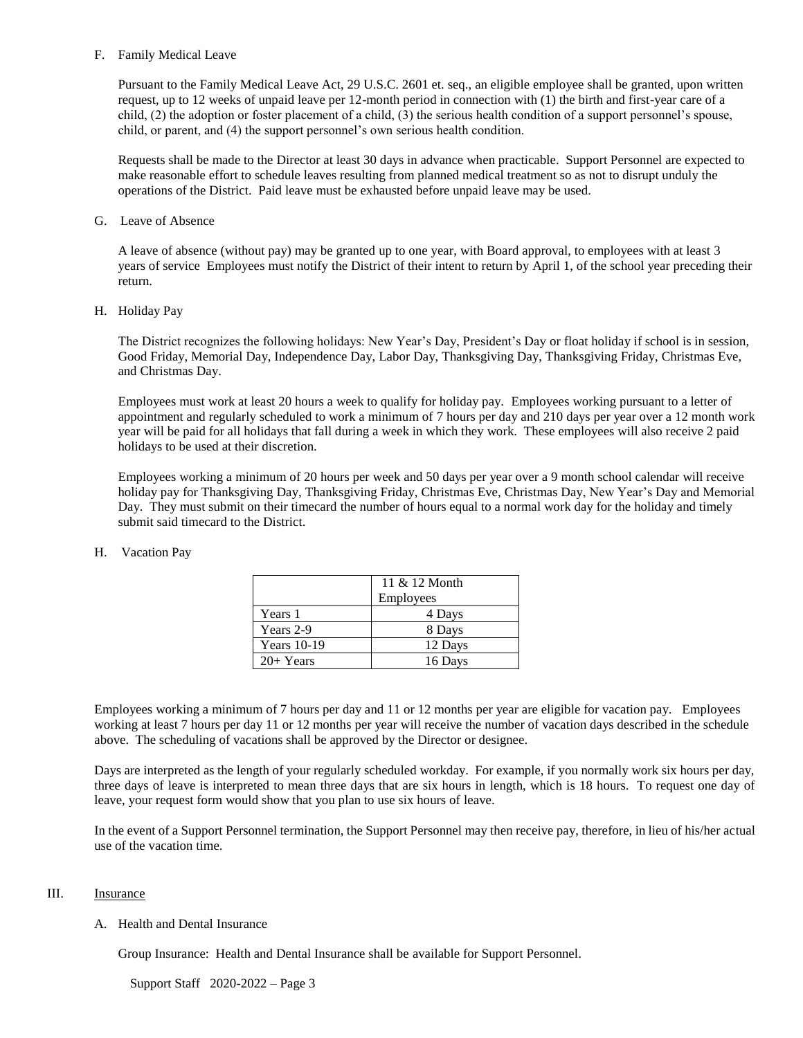#### F. Family Medical Leave

Pursuant to the Family Medical Leave Act, 29 U.S.C. 2601 et. seq., an eligible employee shall be granted, upon written request, up to 12 weeks of unpaid leave per 12-month period in connection with (1) the birth and first-year care of a child, (2) the adoption or foster placement of a child, (3) the serious health condition of a support personnel's spouse, child, or parent, and (4) the support personnel's own serious health condition.

Requests shall be made to the Director at least 30 days in advance when practicable. Support Personnel are expected to make reasonable effort to schedule leaves resulting from planned medical treatment so as not to disrupt unduly the operations of the District. Paid leave must be exhausted before unpaid leave may be used.

#### G. Leave of Absence

A leave of absence (without pay) may be granted up to one year, with Board approval, to employees with at least 3 years of service Employees must notify the District of their intent to return by April 1, of the school year preceding their return.

#### H. Holiday Pay

The District recognizes the following holidays: New Year's Day, President's Day or float holiday if school is in session, Good Friday, Memorial Day, Independence Day, Labor Day, Thanksgiving Day, Thanksgiving Friday, Christmas Eve, and Christmas Day.

Employees must work at least 20 hours a week to qualify for holiday pay. Employees working pursuant to a letter of appointment and regularly scheduled to work a minimum of 7 hours per day and 210 days per year over a 12 month work year will be paid for all holidays that fall during a week in which they work. These employees will also receive 2 paid holidays to be used at their discretion.

Employees working a minimum of 20 hours per week and 50 days per year over a 9 month school calendar will receive holiday pay for Thanksgiving Day, Thanksgiving Friday, Christmas Eve, Christmas Day, New Year's Day and Memorial Day. They must submit on their timecard the number of hours equal to a normal work day for the holiday and timely submit said timecard to the District.

|                    | 11 & 12 Month |
|--------------------|---------------|
|                    | Employees     |
| Years 1            | 4 Days        |
| Years 2-9          | 8 Days        |
| <b>Years</b> 10-19 | 12 Days       |
| $20+Years$         | 16 Days       |

### H. Vacation Pay

Employees working a minimum of 7 hours per day and 11 or 12 months per year are eligible for vacation pay. Employees working at least 7 hours per day 11 or 12 months per year will receive the number of vacation days described in the schedule above. The scheduling of vacations shall be approved by the Director or designee.

Days are interpreted as the length of your regularly scheduled workday. For example, if you normally work six hours per day, three days of leave is interpreted to mean three days that are six hours in length, which is 18 hours. To request one day of leave, your request form would show that you plan to use six hours of leave.

In the event of a Support Personnel termination, the Support Personnel may then receive pay, therefore, in lieu of his/her actual use of the vacation time.

#### III. **Insurance**

### A. Health and Dental Insurance

Group Insurance: Health and Dental Insurance shall be available for Support Personnel.

Support Staff 2020-2022 – Page 3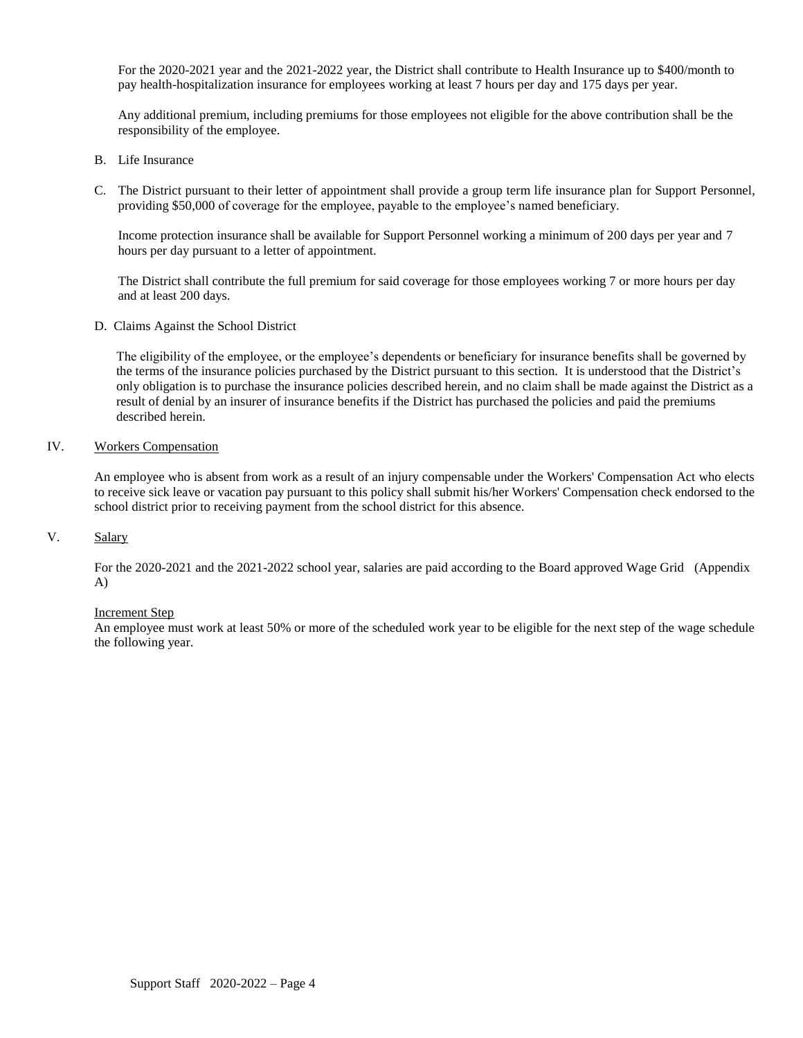For the 2020-2021 year and the 2021-2022 year, the District shall contribute to Health Insurance up to \$400/month to pay health-hospitalization insurance for employees working at least 7 hours per day and 175 days per year.

Any additional premium, including premiums for those employees not eligible for the above contribution shall be the responsibility of the employee.

- B. Life Insurance
- C. The District pursuant to their letter of appointment shall provide a group term life insurance plan for Support Personnel, providing \$50,000 of coverage for the employee, payable to the employee's named beneficiary.

Income protection insurance shall be available for Support Personnel working a minimum of 200 days per year and 7 hours per day pursuant to a letter of appointment.

The District shall contribute the full premium for said coverage for those employees working 7 or more hours per day and at least 200 days.

D. Claims Against the School District

The eligibility of the employee, or the employee's dependents or beneficiary for insurance benefits shall be governed by the terms of the insurance policies purchased by the District pursuant to this section. It is understood that the District's only obligation is to purchase the insurance policies described herein, and no claim shall be made against the District as a result of denial by an insurer of insurance benefits if the District has purchased the policies and paid the premiums described herein.

#### IV. Workers Compensation

An employee who is absent from work as a result of an injury compensable under the Workers' Compensation Act who elects to receive sick leave or vacation pay pursuant to this policy shall submit his/her Workers' Compensation check endorsed to the school district prior to receiving payment from the school district for this absence.

#### V. Salary

For the 2020-2021 and the 2021-2022 school year, salaries are paid according to the Board approved Wage Grid (Appendix A)

#### Increment Step

An employee must work at least 50% or more of the scheduled work year to be eligible for the next step of the wage schedule the following year.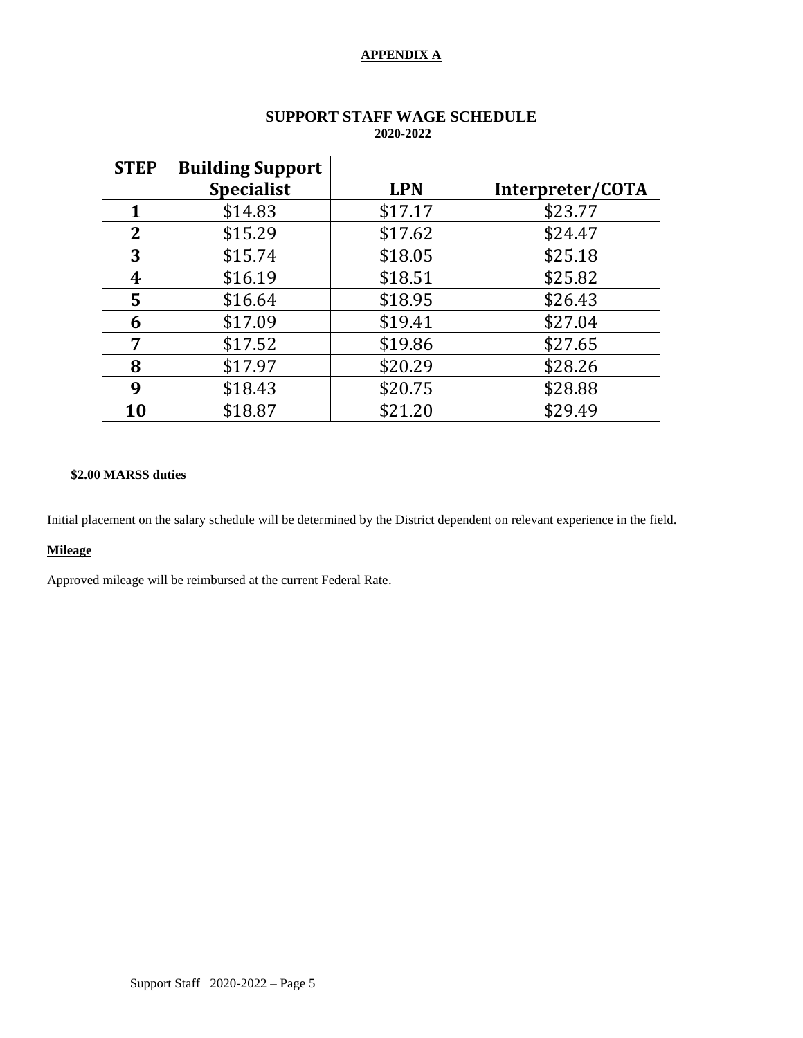## **APPENDIX A**

| <b>STEP</b> | <b>Building Support</b> |            |                  |
|-------------|-------------------------|------------|------------------|
|             | <b>Specialist</b>       | <b>LPN</b> | Interpreter/COTA |
| 1           | \$14.83                 | \$17.17    | \$23.77          |
| $\mathbf 2$ | \$15.29                 | \$17.62    | \$24.47          |
| 3           | \$15.74                 | \$18.05    | \$25.18          |
| 4           | \$16.19                 | \$18.51    | \$25.82          |
| 5           | \$16.64                 | \$18.95    | \$26.43          |
| 6           | \$17.09                 | \$19.41    | \$27.04          |
| 7           | \$17.52                 | \$19.86    | \$27.65          |
| 8           | \$17.97                 | \$20.29    | \$28.26          |
| 9           | \$18.43                 | \$20.75    | \$28.88          |
| 10          | \$18.87                 | \$21.20    | \$29.49          |

### **SUPPORT STAFF WAGE SCHEDULE 2020-2022**

### **\$2.00 MARSS duties**

Initial placement on the salary schedule will be determined by the District dependent on relevant experience in the field.

#### **Mileage**

Approved mileage will be reimbursed at the current Federal Rate.